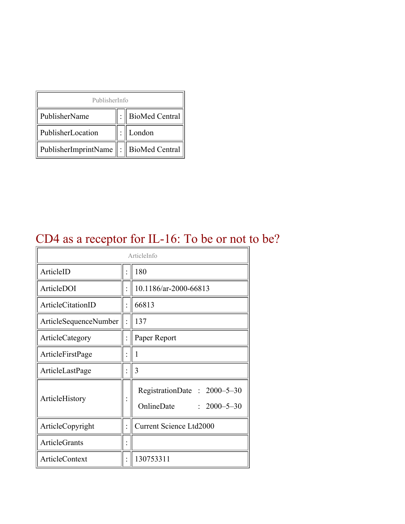| PublisherInfo                                   |  |                    |  |  |
|-------------------------------------------------|--|--------------------|--|--|
| PublisherName                                   |  | :   BioMed Central |  |  |
| PublisherLocation                               |  | London             |  |  |
| PublisherImprintName $\ \cdot\ $ BioMed Central |  |                    |  |  |

### CD4 as a receptor for IL-16: To be or not to be?

| ArticleInfo           |  |                                                                |
|-----------------------|--|----------------------------------------------------------------|
| ArticleID             |  | 180                                                            |
| ArticleDOI            |  | 10.1186/ar-2000-66813                                          |
| ArticleCitationID     |  | 66813                                                          |
| ArticleSequenceNumber |  | 137                                                            |
| ArticleCategory       |  | Paper Report                                                   |
| ArticleFirstPage      |  | 1                                                              |
| ArticleLastPage       |  | 3                                                              |
| ArticleHistory        |  | RegistrationDate: 2000-5-30<br>OnlineDate<br>$: 2000 - 5 - 30$ |
| ArticleCopyright      |  | <b>Current Science Ltd2000</b>                                 |
| <b>ArticleGrants</b>  |  |                                                                |
| <b>ArticleContext</b> |  | 130753311                                                      |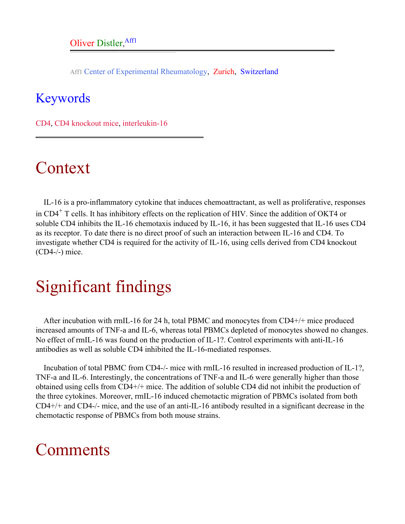Aff1 Center of Experimental Rheumatology, Zurich, Switzerland

#### <span id="page-1-0"></span>Keywords

CD4, CD4 knockout mice, interleukin-16

# Context

IL-16 is a pro-inflammatory cytokine that induces chemoattractant, as well as proliferative, responses in CD4<sup>+</sup> T cells. It has inhibitory effects on the replication of HIV. Since the addition of OKT4 or soluble CD4 inhibits the IL-16 chemotaxis induced by IL-16, it has been suggested that IL-16 uses CD4 as its receptor. To date there is no direct proof of such an interaction between IL-16 and CD4. To investigate whether CD4 is required for the activity of IL-16, using cells derived from CD4 knockout (CD4-/-) mice.

### Significant findings

After incubation with rmIL-16 for 24 h, total PBMC and monocytes from CD4+/+ mice produced increased amounts of TNF-a and IL-6, whereas total PBMCs depleted of monocytes showed no changes. No effect of rmIL-16 was found on the production of IL-1?. Control experiments with anti-IL-16 antibodies as well as soluble CD4 inhibited the IL-16-mediated responses.

Incubation of total PBMC from CD4-/- mice with rmIL-16 resulted in increased production of IL-1?, TNF-a and IL-6. Interestingly, the concentrations of TNF-a and IL-6 were generally higher than those obtained using cells from CD4+/+ mice. The addition of soluble CD4 did not inhibit the production of the three cytokines. Moreover, rmIL-16 induced chemotactic migration of PBMCs isolated from both CD4+/+ and CD4-/- mice, and the use of an anti-IL-16 antibody resulted in a significant decrease in the chemotactic response of PBMCs from both mouse strains.

# Comments